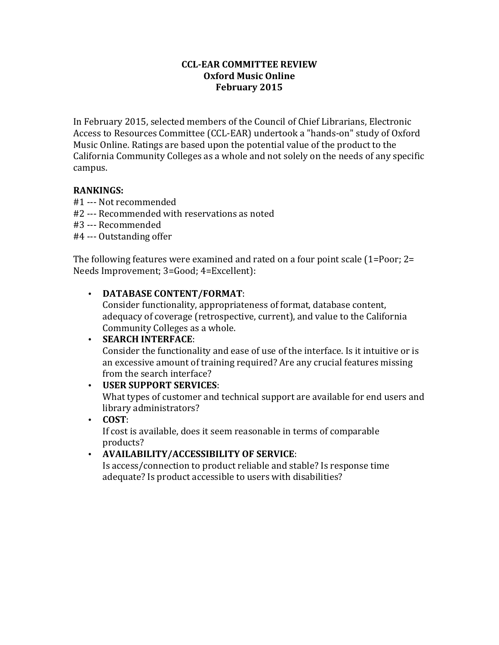#### **CCL-EAR COMMITTEE REVIEW Oxford Music Online February 2015**

In February 2015, selected members of the Council of Chief Librarians, Electronic Access to Resources Committee (CCL-EAR) undertook a "hands-on" study of Oxford Music Online. Ratings are based upon the potential value of the product to the California Community Colleges as a whole and not solely on the needs of any specific campus.

## **RANKINGS:**

- #1 --- Not recommended
- #2 --- Recommended with reservations as noted
- #3 --- Recommended
- #4 --- Outstanding offer

The following features were examined and rated on a four point scale  $(1=Poor; 2=$ Needs Improvement; 3=Good; 4=Excellent):

## • **DATABASE CONTENT/FORMAT:**

Consider functionality, appropriateness of format, database content, adequacy of coverage (retrospective, current), and value to the California Community Colleges as a whole.

### • **SEARCH INTERFACE:**

Consider the functionality and ease of use of the interface. Is it intuitive or is an excessive amount of training required? Are any crucial features missing from the search interface?

### • **USER SUPPORT SERVICES**:

What types of customer and technical support are available for end users and library administrators?

# • **COST**:

If cost is available, does it seem reasonable in terms of comparable products? 

## • **AVAILABILITY/ACCESSIBILITY OF SERVICE**:

Is access/connection to product reliable and stable? Is response time adequate? Is product accessible to users with disabilities?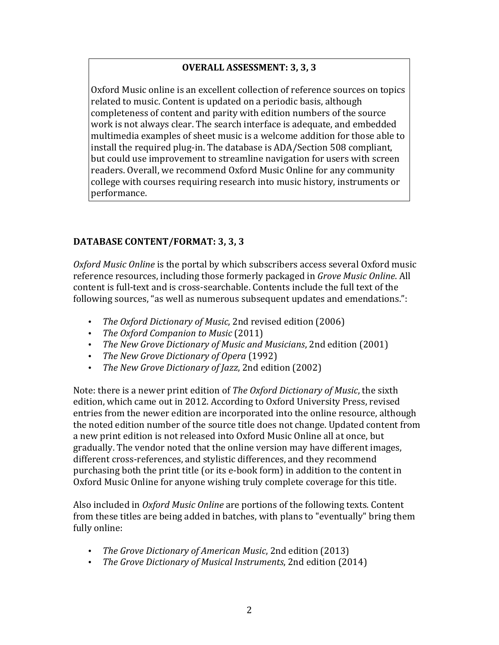# **OVERALL ASSESSMENT: 3, 3, 3**

Oxford Music online is an excellent collection of reference sources on topics related to music. Content is updated on a periodic basis, although completeness of content and parity with edition numbers of the source work is not always clear. The search interface is adequate, and embedded multimedia examples of sheet music is a welcome addition for those able to install the required plug-in. The database is ADA/Section 508 compliant, but could use improvement to streamline navigation for users with screen readers. Overall, we recommend Oxford Music Online for any community college with courses requiring research into music history, instruments or performance.

## DATABASE CONTENT/FORMAT: 3, 3, 3

*Oxford Music Online* is the portal by which subscribers access several Oxford music reference resources, including those formerly packaged in *Grove Music Online*. All content is full-text and is cross-searchable. Contents include the full text of the following sources, "as well as numerous subsequent updates and emendations.":

- *The Oxford Dictionary of Music*, 2nd revised edition (2006)
- *The Oxford Companion to Music* (2011)
- *The New Grove Dictionary of Music and Musicians*, 2nd edition (2001)
- *The New Grove Dictionary of Opera* (1992)
- *The New Grove Dictionary of Jazz*, 2nd edition (2002)

Note: there is a newer print edition of *The Oxford Dictionary of Music*, the sixth edition, which came out in 2012. According to Oxford University Press, revised entries from the newer edition are incorporated into the online resource, although the noted edition number of the source title does not change. Updated content from a new print edition is not released into Oxford Music Online all at once, but gradually. The vendor noted that the online version may have different images, different cross-references, and stylistic differences, and they recommend purchasing both the print title (or its e-book form) in addition to the content in Oxford Music Online for anyone wishing truly complete coverage for this title.

Also included in *Oxford Music Online* are portions of the following texts. Content from these titles are being added in batches, with plans to "eventually" bring them fully online:

- *The Grove Dictionary of American Music*, 2nd edition (2013)
- *The Grove Dictionary of Musical Instruments*, 2nd edition (2014)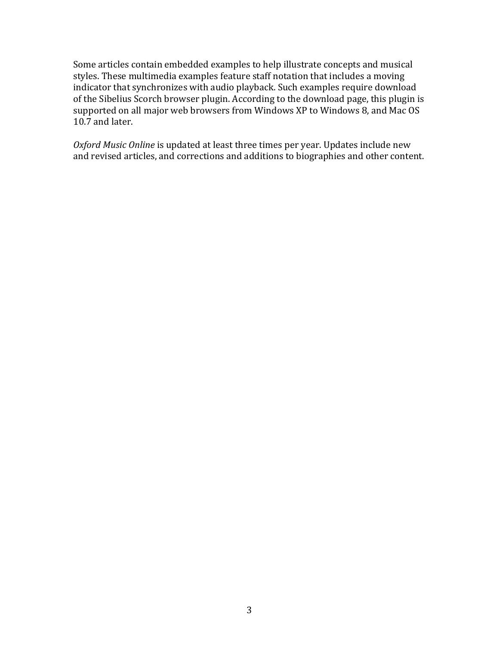Some articles contain embedded examples to help illustrate concepts and musical styles. These multimedia examples feature staff notation that includes a moving indicator that synchronizes with audio playback. Such examples require download of the Sibelius Scorch browser plugin. According to the download page, this plugin is supported on all major web browsers from Windows XP to Windows 8, and Mac OS 10.7 and later.

*Oxford Music Online* is updated at least three times per year. Updates include new and revised articles, and corrections and additions to biographies and other content.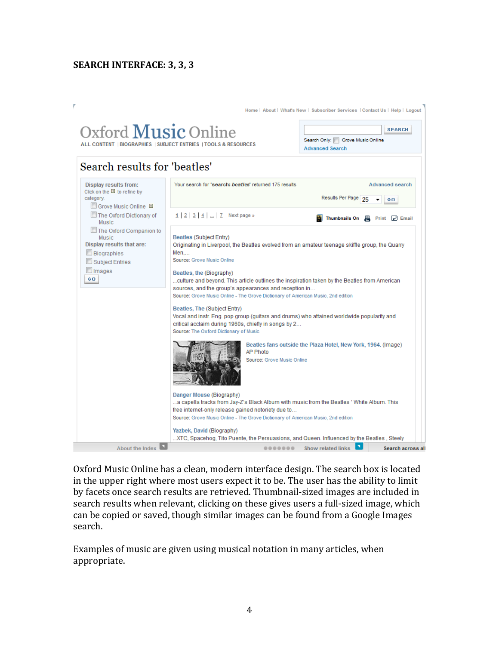## **SEARCH INTERFACE: 3, 3, 3**



Oxford Music Online has a clean, modern interface design. The search box is located in the upper right where most users expect it to be. The user has the ability to limit by facets once search results are retrieved. Thumbnail-sized images are included in search results when relevant, clicking on these gives users a full-sized image, which can be copied or saved, though similar images can be found from a Google Images search.

Examples of music are given using musical notation in many articles, when appropriate.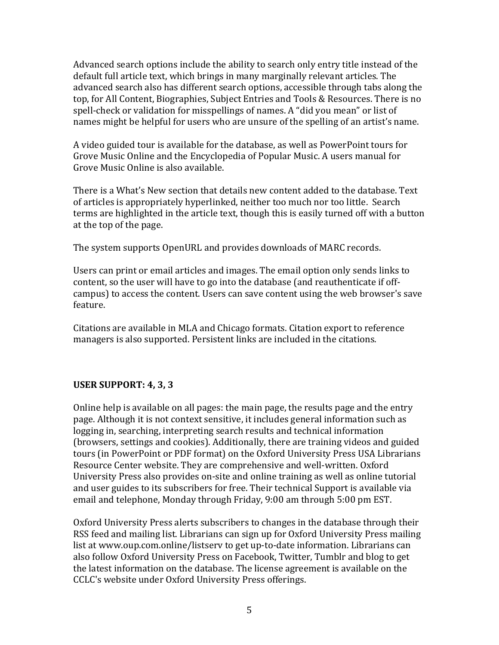Advanced search options include the ability to search only entry title instead of the default full article text, which brings in many marginally relevant articles. The advanced search also has different search options, accessible through tabs along the top, for All Content, Biographies, Subject Entries and Tools & Resources. There is no spell-check or validation for misspellings of names. A "did you mean" or list of names might be helpful for users who are unsure of the spelling of an artist's name.

A video guided tour is available for the database, as well as PowerPoint tours for Grove Music Online and the Encyclopedia of Popular Music. A users manual for Grove Music Online is also available.

There is a What's New section that details new content added to the database. Text of articles is appropriately hyperlinked, neither too much nor too little. Search terms are highlighted in the article text, though this is easily turned off with a button at the top of the page.

The system supports OpenURL and provides downloads of MARC records.

Users can print or email articles and images. The email option only sends links to content, so the user will have to go into the database (and reauthenticate if offcampus) to access the content. Users can save content using the web browser's save feature.

Citations are available in MLA and Chicago formats. Citation export to reference managers is also supported. Persistent links are included in the citations.

## **USER SUPPORT: 4, 3, 3**

Online help is available on all pages: the main page, the results page and the entry page. Although it is not context sensitive, it includes general information such as logging in, searching, interpreting search results and technical information (browsers, settings and cookies). Additionally, there are training videos and guided tours (in PowerPoint or PDF format) on the Oxford University Press USA Librarians Resource Center website. They are comprehensive and well-written. Oxford University Press also provides on-site and online training as well as online tutorial and user guides to its subscribers for free. Their technical Support is available via email and telephone, Monday through Friday,  $9:00$  am through  $5:00$  pm EST.

Oxford University Press alerts subscribers to changes in the database through their RSS feed and mailing list. Librarians can sign up for Oxford University Press mailing list at www.oup.com.online/listsery to get up-to-date information. Librarians can also follow Oxford University Press on Facebook, Twitter, Tumblr and blog to get the latest information on the database. The license agreement is available on the CCLC's website under Oxford University Press offerings.